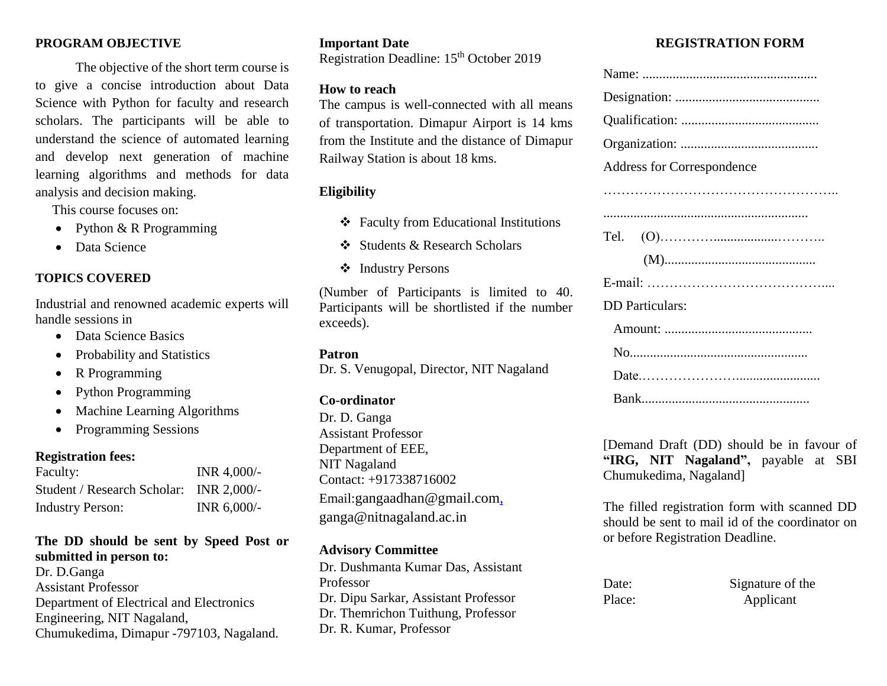#### **PROGRAM OBJECTIVE**

The objective of the short term course is to give a concise introduction about Data Science with Python for faculty and research scholars. The participants will be able to understand the science of automated learning and develop next generation of machine learning algorithms and methods for data analysis and decision making.

This course focuses on:

- Python  $& R$  Programming
- Data Science

#### **TOPICS COVERED**

Industrial and renowned academic experts will handle sessions in

- Data Science Basics
- Probability and Statistics
- R Programming
- Python Programming
- Machine Learning Algorithms
- Programming Sessions

## **Registration fees:**

| Faculty:                                | INR $4,000/-$  |
|-----------------------------------------|----------------|
| Student / Research Scholar: INR 2,000/- |                |
| <b>Industry Person:</b>                 | INR $6,000$ /- |

## **The DD should be sent by Speed Post or submitted in person to:**

Dr. D.Ganga Assistant Professor Department of Electrical and Electronics Engineering, NIT Nagaland, Chumukedima, Dimapur -797103, Nagaland.

#### **Important Date**

Registration Deadline: 15th October 2019

#### **How to reach**

The campus is well-connected with all means of transportation. Dimapur Airport is 14 kms from the Institute and the distance of Dimapur Railway Station is about 18 kms.

# **Eligibility**

- Faculty from Educational Institutions
- Students & Research Scholars
- ❖ Industry Persons

(Number of Participants is limited to 40. Participants will be shortlisted if the number exceeds).

## **Patron**

Dr. S. Venugopal, Director, NIT Nagaland

## **Co-ordinator**

Dr. D. Ganga Assistant Professor Department of EEE, NIT Nagaland Contact: +917338716002 Email:gangaadhan@gmail.com, ganga@nitnagaland.ac.in

## **Advisory Committee**

Dr. Dushmanta Kumar Das, Assistant Professor Dr. Dipu Sarkar, Assistant Professor Dr. Themrichon Tuithung, Professor Dr. R. Kumar, Professor

# **REGISTRATION FORM**

| <b>Address for Correspondence</b> |
|-----------------------------------|
|                                   |
|                                   |
| Tel.                              |
|                                   |
|                                   |
| <b>DD</b> Particulars:            |
|                                   |
|                                   |
|                                   |
|                                   |

[Demand Draft (DD) should be in favour of **"IRG, NIT Nagaland",** payable at SBI Chumukedima, Nagaland]

The filled registration form with scanned DD should be sent to mail id of the coordinator on or before Registration Deadline.

| Date:  | Signature of the |
|--------|------------------|
| Place: | Applicant        |